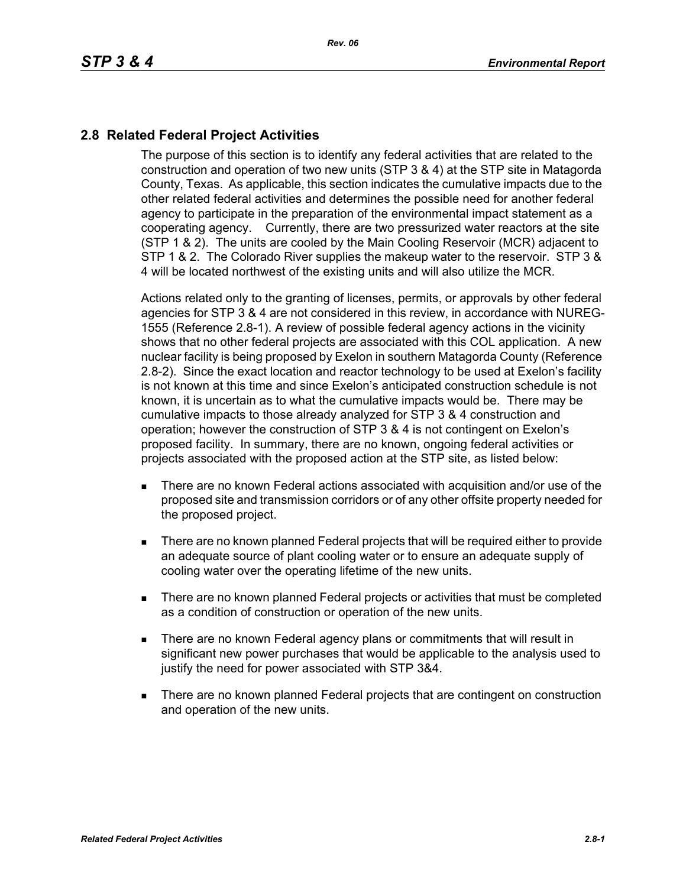## **2.8 Related Federal Project Activities**

The purpose of this section is to identify any federal activities that are related to the construction and operation of two new units (STP 3 & 4) at the STP site in Matagorda County, Texas. As applicable, this section indicates the cumulative impacts due to the other related federal activities and determines the possible need for another federal agency to participate in the preparation of the environmental impact statement as a cooperating agency. Currently, there are two pressurized water reactors at the site (STP 1 & 2). The units are cooled by the Main Cooling Reservoir (MCR) adjacent to STP 1 & 2. The Colorado River supplies the makeup water to the reservoir. STP 3 & 4 will be located northwest of the existing units and will also utilize the MCR.

Actions related only to the granting of licenses, permits, or approvals by other federal agencies for STP 3 & 4 are not considered in this review, in accordance with NUREG-1555 (Reference 2.8-1). A review of possible federal agency actions in the vicinity shows that no other federal projects are associated with this COL application. A new nuclear facility is being proposed by Exelon in southern Matagorda County (Reference 2.8-2). Since the exact location and reactor technology to be used at Exelon's facility is not known at this time and since Exelon's anticipated construction schedule is not known, it is uncertain as to what the cumulative impacts would be. There may be cumulative impacts to those already analyzed for STP 3 & 4 construction and operation; however the construction of STP 3 & 4 is not contingent on Exelon's proposed facility. In summary, there are no known, ongoing federal activities or projects associated with the proposed action at the STP site, as listed below:

- There are no known Federal actions associated with acquisition and/or use of the proposed site and transmission corridors or of any other offsite property needed for the proposed project.
- **There are no known planned Federal projects that will be required either to provide** an adequate source of plant cooling water or to ensure an adequate supply of cooling water over the operating lifetime of the new units.
- There are no known planned Federal projects or activities that must be completed as a condition of construction or operation of the new units.
- **There are no known Federal agency plans or commitments that will result in** significant new power purchases that would be applicable to the analysis used to justify the need for power associated with STP 3&4.
- **There are no known planned Federal projects that are contingent on construction** and operation of the new units.